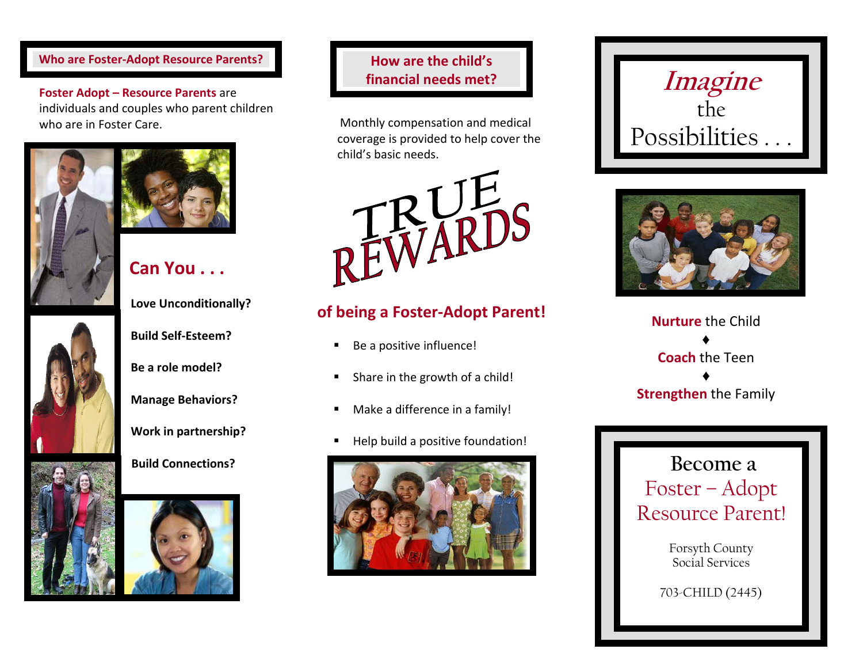#### **Who** are **Foster-Adopt Resource Parents? How**

**Foster Adopt – Resource Parents** are individuals and couples who parent children who are in Foster Care.



# **Can You . . .**

**Manage Behaviors?**

**Work in partnership?**

#### **Build Connections?**



#### **are the child's financial needs met?**

Monthly compensation and medical coverage is provided to help cover the child's basic needs.



## **of being <sup>a</sup> Foster‐Ad opt Parent!**

- $\blacksquare$ ■ Be a positive influence!
- $\blacksquare$ ■ Share in the growth of a child!
- $\blacksquare$ Make <sup>a</sup> difference in <sup>a</sup> family!
- ٠ Help build <sup>a</sup> positive foundation!







**Nurture** the Child♦**Coach** the Teen ♦**Strengthen** the Family

**Become a**  Foster – Adopt Resource Parent!

> Forsyth County Social Services

703-CHILD (2445)

**Love Unconditionally?**

**Build Self‐Esteem?**

**Be <sup>a</sup> role model?**